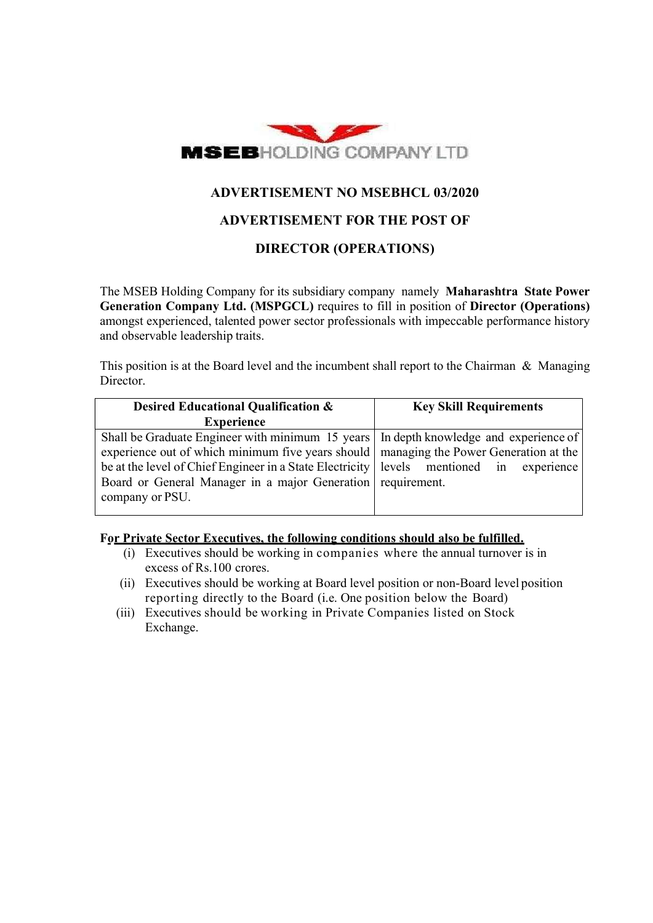

# ADVERTISEMENT NO MSEBHCL 03/2020

# ADVERTISEMENT FOR THE POST OF

# DIRECTOR (OPERATIONS)

The MSEB Holding Company for its subsidiary company namely Maharashtra State Power Generation Company Ltd. (MSPGCL) requires to fill in position of Director (Operations) amongst experienced, talented power sector professionals with impeccable performance history and observable leadership traits.

This position is at the Board level and the incumbent shall report to the Chairman  $\&$  Managing Director.

| Desired Educational Qualification &                                                      | <b>Key Skill Requirements</b> |  |  |  |  |  |  |
|------------------------------------------------------------------------------------------|-------------------------------|--|--|--|--|--|--|
| <b>Experience</b>                                                                        |                               |  |  |  |  |  |  |
| Shall be Graduate Engineer with minimum 15 years   In depth knowledge and experience of  |                               |  |  |  |  |  |  |
| experience out of which minimum five years should   managing the Power Generation at the |                               |  |  |  |  |  |  |
| be at the level of Chief Engineer in a State Electricity levels mentioned in experience  |                               |  |  |  |  |  |  |
| Board or General Manager in a major Generation requirement.                              |                               |  |  |  |  |  |  |
| company or PSU.                                                                          |                               |  |  |  |  |  |  |
|                                                                                          |                               |  |  |  |  |  |  |

#### For Private Sector Executives, the following conditions should also be fulfilled.

- (i) Executives should be working in companies where the annual turnover is in excess of Rs.100 crores.
- (ii) Executives should be working at Board level position or non-Board level position reporting directly to the Board (i.e. One position below the Board)
- (iii) Executives should be working in Private Companies listed on Stock Exchange.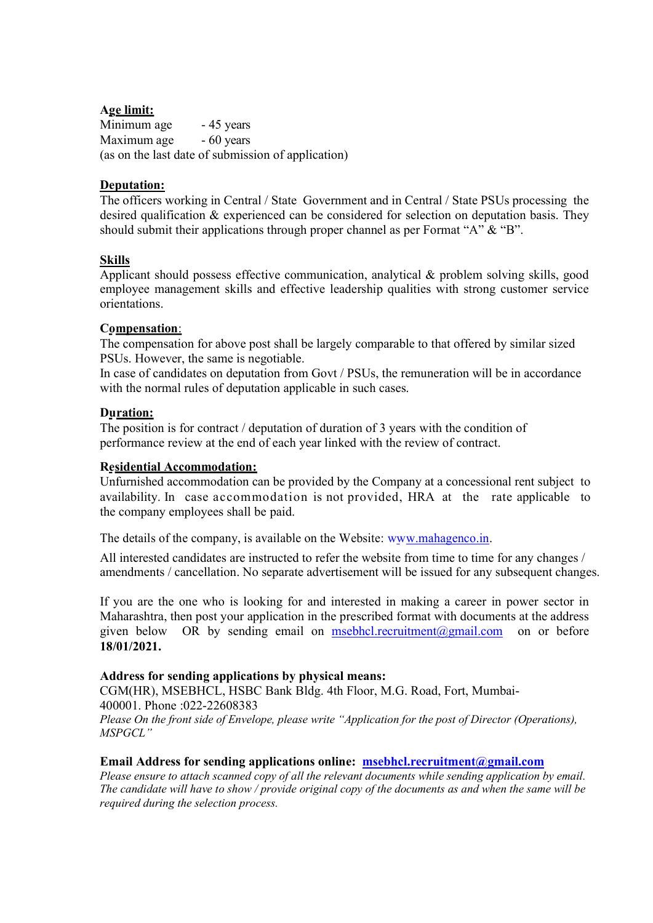#### Age limit:

Minimum age - 45 years Maximum age  $-60$  years (as on the last date of submission of application)

## Deputation:

The officers working in Central / State Government and in Central / State PSUs processing the desired qualification & experienced can be considered for selection on deputation basis. They should submit their applications through proper channel as per Format "A" & "B".

## **Skills**

Applicant should possess effective communication, analytical & problem solving skills, good employee management skills and effective leadership qualities with strong customer service orientations.

#### Compensation:

The compensation for above post shall be largely comparable to that offered by similar sized PSUs. However, the same is negotiable.

In case of candidates on deputation from Govt / PSUs, the remuneration will be in accordance with the normal rules of deputation applicable in such cases.

#### Duration:

The position is for contract / deputation of duration of 3 years with the condition of performance review at the end of each year linked with the review of contract.

### Residential Accommodation:

Unfurnished accommodation can be provided by the Company at a concessional rent subject to availability. In case accommodation is not provided, HRA at the rate applicable to the company employees shall be paid.

The details of the company, is available on the Website: www.mahagenco.in.

All interested candidates are instructed to refer the website from time to time for any changes / amendments / cancellation. No separate advertisement will be issued for any subsequent changes.

If you are the one who is looking for and interested in making a career in power sector in Maharashtra, then post your application in the prescribed format with documents at the address given below OR by sending email on msebhcl.recruitment@gmail.com on or before 18/01/2021.

#### Address for sending applications by physical means:

CGM(HR), MSEBHCL, HSBC Bank Bldg. 4th Floor, M.G. Road, Fort, Mumbai-400001. Phone :022-22608383 Please On the front side of Envelope, please write "Application for the post of Director (Operations), MSPGCL"

#### Email Address for sending applications online: msebhcl.recruitment@gmail.com

Please ensure to attach scanned copy of all the relevant documents while sending application by email. The candidate will have to show / provide original copy of the documents as and when the same will be required during the selection process.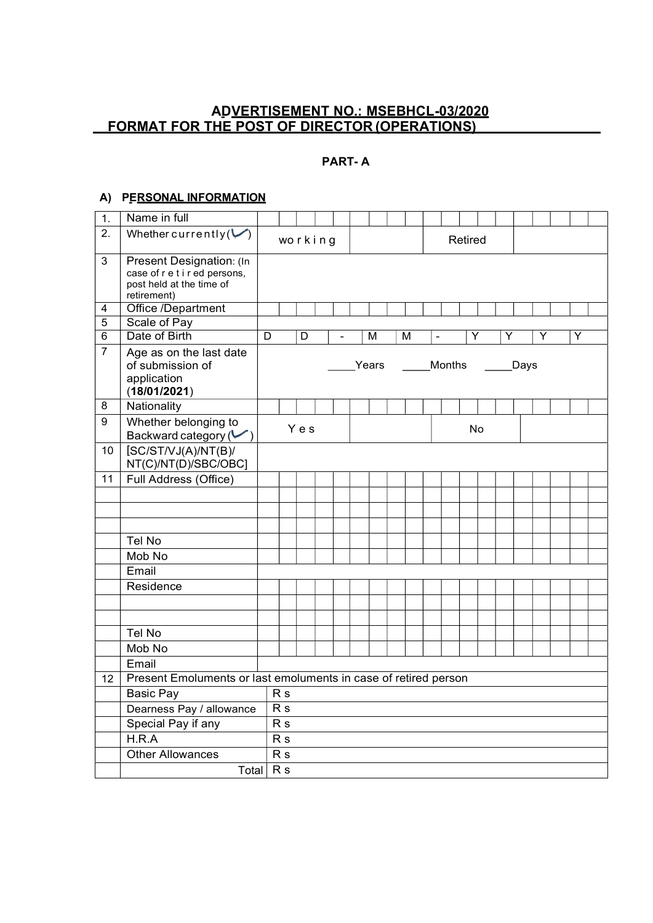## AD VERTISEMENT NO.: MSEBHCL-03/2020 FORMAT FOR THE POST OF DIRECTOR (OPERATIONS)

## PART- A

#### A) PERSONAL INFORMATION

| 1.             | Name in full                                                                                         |                 |                |                |   |                |                         |                |         |      |   |   |  |
|----------------|------------------------------------------------------------------------------------------------------|-----------------|----------------|----------------|---|----------------|-------------------------|----------------|---------|------|---|---|--|
| 2.             | Whether currently $(\vee)$                                                                           |                 |                | working        |   |                |                         |                | Retired |      |   |   |  |
| $\mathbf{3}$   | Present Designation: (In<br>case of r e t i r ed persons,<br>post held at the time of<br>retirement) |                 |                |                |   |                |                         |                |         |      |   |   |  |
| 4              | Office /Department                                                                                   |                 |                |                |   |                |                         |                |         |      |   |   |  |
| 5              | Scale of Pay                                                                                         |                 |                |                |   |                |                         |                |         |      |   |   |  |
| $\overline{6}$ | Date of Birth                                                                                        | $\overline{D}$  |                | $\overline{D}$ | ÷ | $\overline{M}$ | $\overline{\mathsf{M}}$ | $\blacksquare$ | Υ       | Υ    | Υ | Y |  |
| $\overline{7}$ | Age as on the last date<br>of submission of<br>application<br>(18/01/2021)                           |                 |                |                |   | Years          |                         | Months         |         | Days |   |   |  |
| 8              | Nationality                                                                                          |                 |                |                |   |                |                         |                |         |      |   |   |  |
| 9              | Whether belonging to<br>Backward category $(\vee)$                                                   |                 |                | Yes            |   |                |                         |                | No      |      |   |   |  |
| 10             | [SC/ST/VJ(A)/NT(B)]<br>NT(C)/NT(D)/SBC/OBC]                                                          |                 |                |                |   |                |                         |                |         |      |   |   |  |
| 11             | Full Address (Office)                                                                                |                 |                |                |   |                |                         |                |         |      |   |   |  |
|                |                                                                                                      |                 |                |                |   |                |                         |                |         |      |   |   |  |
|                |                                                                                                      |                 |                |                |   |                |                         |                |         |      |   |   |  |
|                |                                                                                                      |                 |                |                |   |                |                         |                |         |      |   |   |  |
|                | Tel No                                                                                               |                 |                |                |   |                |                         |                |         |      |   |   |  |
|                | Mob No                                                                                               |                 |                |                |   |                |                         |                |         |      |   |   |  |
|                | Email                                                                                                |                 |                |                |   |                |                         |                |         |      |   |   |  |
|                | Residence                                                                                            |                 |                |                |   |                |                         |                |         |      |   |   |  |
|                |                                                                                                      |                 |                |                |   |                |                         |                |         |      |   |   |  |
|                |                                                                                                      |                 |                |                |   |                |                         |                |         |      |   |   |  |
|                | Tel No                                                                                               |                 |                |                |   |                |                         |                |         |      |   |   |  |
|                | Mob No                                                                                               |                 |                |                |   |                |                         |                |         |      |   |   |  |
|                |                                                                                                      |                 |                |                |   |                |                         |                |         |      |   |   |  |
|                | Email                                                                                                |                 |                |                |   |                |                         |                |         |      |   |   |  |
| 12             | Present Emoluments or last emoluments in case of retired person                                      |                 |                |                |   |                |                         |                |         |      |   |   |  |
|                | <b>Basic Pay</b>                                                                                     | R <sub>s</sub>  |                |                |   |                |                         |                |         |      |   |   |  |
|                | Dearness Pay / allowance                                                                             | $\overline{Rs}$ |                |                |   |                |                         |                |         |      |   |   |  |
|                | Special Pay if any                                                                                   |                 | R <sub>s</sub> |                |   |                |                         |                |         |      |   |   |  |
|                | H.R.A                                                                                                |                 | R <sub>s</sub> |                |   |                |                         |                |         |      |   |   |  |
|                | <b>Other Allowances</b>                                                                              | R <sub>s</sub>  |                |                |   |                |                         |                |         |      |   |   |  |
|                | Total                                                                                                | R <sub>s</sub>  |                |                |   |                |                         |                |         |      |   |   |  |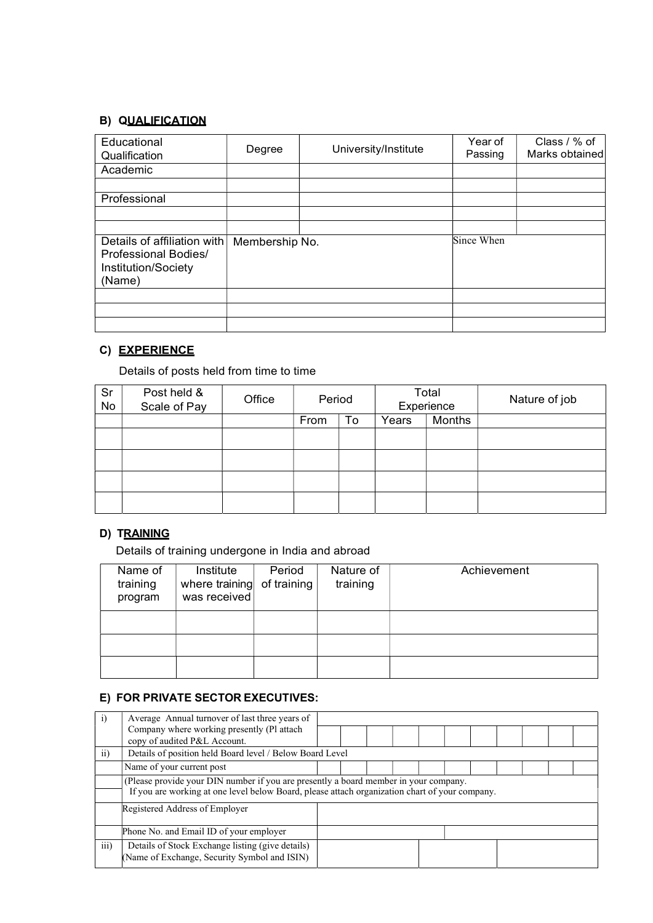# **B) QUALIFICATION**

| Educational<br>Qualification                                                         | Degree         | University/Institute | Year of<br>Passing | Class / % of<br>Marks obtained |  |
|--------------------------------------------------------------------------------------|----------------|----------------------|--------------------|--------------------------------|--|
| Academic                                                                             |                |                      |                    |                                |  |
| Professional                                                                         |                |                      |                    |                                |  |
| Details of affiliation with<br>Professional Bodies/<br>Institution/Society<br>(Name) | Membership No. |                      | Since When         |                                |  |
|                                                                                      |                |                      |                    |                                |  |
|                                                                                      |                |                      |                    |                                |  |

# C) EXPERIENCE

Details of posts held from time to time

| Sr<br>No | Post held &<br>Scale of Pay | Office | Period |    |       |        | Total<br>Experience |  |  |  |  |  |  |  |  |  | Nature of job |  |
|----------|-----------------------------|--------|--------|----|-------|--------|---------------------|--|--|--|--|--|--|--|--|--|---------------|--|
|          |                             |        | From   | To | Years | Months |                     |  |  |  |  |  |  |  |  |  |               |  |
|          |                             |        |        |    |       |        |                     |  |  |  |  |  |  |  |  |  |               |  |
|          |                             |        |        |    |       |        |                     |  |  |  |  |  |  |  |  |  |               |  |
|          |                             |        |        |    |       |        |                     |  |  |  |  |  |  |  |  |  |               |  |
|          |                             |        |        |    |       |        |                     |  |  |  |  |  |  |  |  |  |               |  |
|          |                             |        |        |    |       |        |                     |  |  |  |  |  |  |  |  |  |               |  |
|          |                             |        |        |    |       |        |                     |  |  |  |  |  |  |  |  |  |               |  |

## D) TRAINING

Details of training undergone in India and abroad

| Name of<br>training<br>program | Institute<br>where training of training<br>was received | Period | Nature of<br>training | Achievement |
|--------------------------------|---------------------------------------------------------|--------|-----------------------|-------------|
|                                |                                                         |        |                       |             |
|                                |                                                         |        |                       |             |
|                                |                                                         |        |                       |             |

# E) FOR PRIVATE SECTOR EXECUTIVES:

| $\mathbf{i}$    | Average Annual turnover of last three years of                                                                                                                                         |  |  |  |  |  |  |  |  |  |
|-----------------|----------------------------------------------------------------------------------------------------------------------------------------------------------------------------------------|--|--|--|--|--|--|--|--|--|
|                 | Company where working presently (Pl attach<br>copy of audited P&L Account.                                                                                                             |  |  |  |  |  |  |  |  |  |
| $\overline{ii}$ | Details of position held Board level / Below Board Level                                                                                                                               |  |  |  |  |  |  |  |  |  |
|                 | Name of your current post                                                                                                                                                              |  |  |  |  |  |  |  |  |  |
|                 | (Please provide your DIN number if you are presently a board member in your company.<br>If you are working at one level below Board, please attach organization chart of your company. |  |  |  |  |  |  |  |  |  |
|                 | Registered Address of Employer                                                                                                                                                         |  |  |  |  |  |  |  |  |  |
|                 | Phone No. and Email ID of your employer                                                                                                                                                |  |  |  |  |  |  |  |  |  |
| iii)            | Details of Stock Exchange listing (give details)<br>(Name of Exchange, Security Symbol and ISIN)                                                                                       |  |  |  |  |  |  |  |  |  |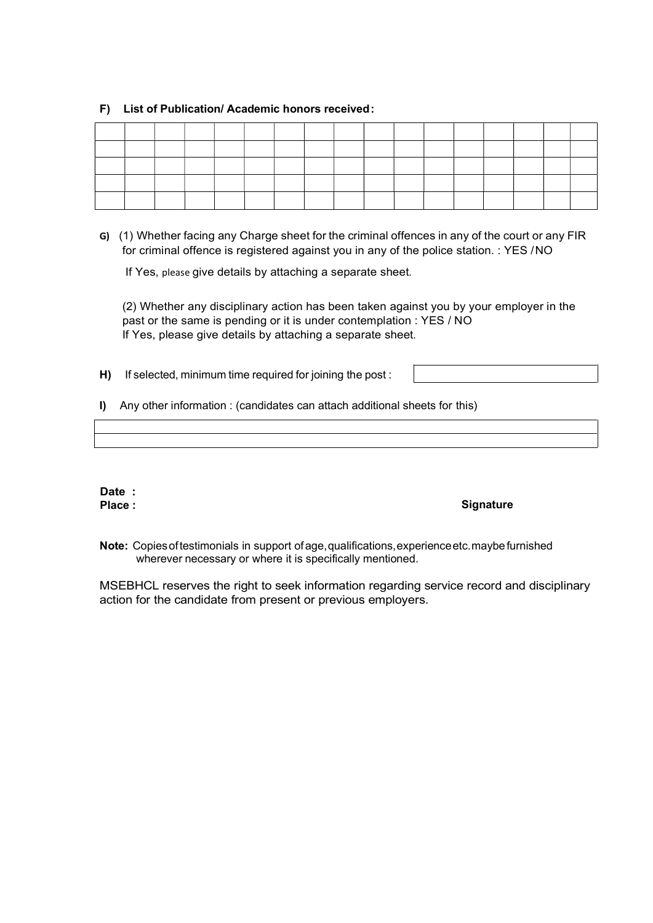#### F) List of Publication/ Academic honors received :

G) (1) Whether facing any Charge sheet for the criminal offences in any of the court or any FIR for criminal offence is registered against you in any of the police station. : YES / NO

If Yes, please give details by attaching a separate sheet.

(2) Whether any disciplinary action has been taken against you by your employer in the past or the same is pending or it is under contemplation : YES / NO If Yes, please give details by attaching a separate sheet.

H) If selected, minimum time required for joining the post :

I) Any other information : (candidates can attach additional sheets for this)

|                                                                                   | ,我们就会不会不会。""我们,我们就会不会不会不会。""我们,我们就会不会不会不会。""我们,我们就会不会不会不会。""我们,我们就会不会不会不会。""我们,我<br>第151章 我们的人,我们就会不会不会不会不会不会不会不会不会。我们的人,我们就会不会不会不会不会不会不会不会不会不会不会不会。我们就会不会不会不会不会不会不会 |  |
|-----------------------------------------------------------------------------------|----------------------------------------------------------------------------------------------------------------------------------------------------------------------|--|
|                                                                                   |                                                                                                                                                                      |  |
|                                                                                   |                                                                                                                                                                      |  |
| ,一个人的人都是一个人的人,而且,他们的人都是一个人的人,而且,他们的人都是一个人的人,而且,他们的人都是一个人的人,而且,他们的人都是一个人的人,而且,他们的人 |                                                                                                                                                                      |  |
|                                                                                   |                                                                                                                                                                      |  |
|                                                                                   |                                                                                                                                                                      |  |
|                                                                                   |                                                                                                                                                                      |  |

Date :

#### Place : Signature : Signature : Signature : Signature : Signature : Signature : Signature : Signature : Signature : Signature : Signature : Signature : Signature : Signature : Signature : Signature : Signature : Signature

Note: Copies of testimonials in support of age, qualifications, experience etc. maybe furnished wherever necessary or where it is specifically mentioned.

MSEBHCL reserves the right to seek information regarding service record and disciplinary action for the candidate from present or previous employers.